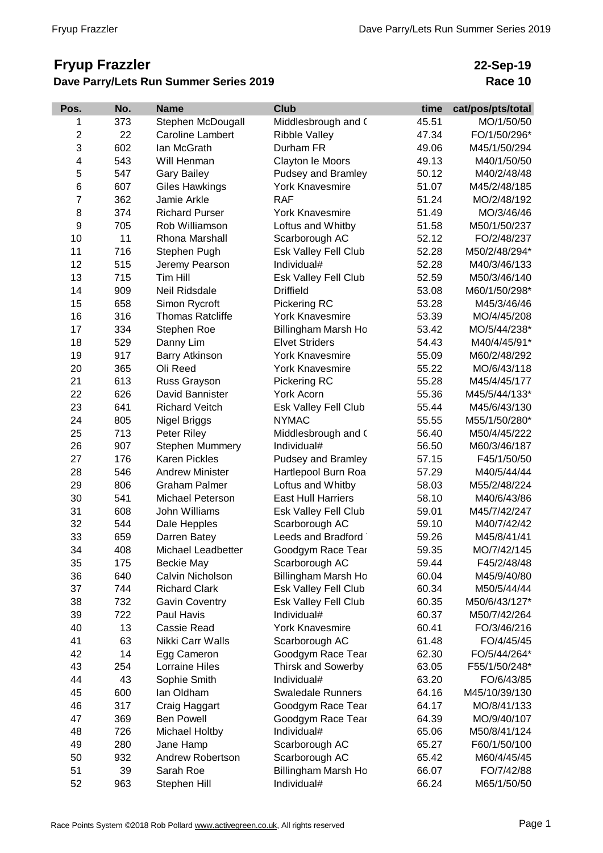## **Fryup Frazzler Dave Parry/Lets Run Summer Series 2019**

## **22-Sep-19 Race 10**

| Pos.                    | No. | <b>Name</b>             | <b>Club</b>                 | time  | cat/pos/pts/total |
|-------------------------|-----|-------------------------|-----------------------------|-------|-------------------|
| 1                       | 373 | Stephen McDougall       | Middlesbrough and (         | 45.51 | MO/1/50/50        |
| $\overline{\mathbf{c}}$ | 22  | <b>Caroline Lambert</b> | <b>Ribble Valley</b>        | 47.34 | FO/1/50/296*      |
| 3                       | 602 | lan McGrath             | Durham FR                   | 49.06 | M45/1/50/294      |
| 4                       | 543 | Will Henman             | Clayton le Moors            | 49.13 | M40/1/50/50       |
| 5                       | 547 | <b>Gary Bailey</b>      | Pudsey and Bramley          | 50.12 | M40/2/48/48       |
| 6                       | 607 | <b>Giles Hawkings</b>   | <b>York Knavesmire</b>      | 51.07 | M45/2/48/185      |
| $\overline{7}$          | 362 | Jamie Arkle             | <b>RAF</b>                  | 51.24 | MO/2/48/192       |
| 8                       | 374 | <b>Richard Purser</b>   | York Knavesmire             | 51.49 | MO/3/46/46        |
| 9                       | 705 | Rob Williamson          | Loftus and Whitby           | 51.58 | M50/1/50/237      |
| 10                      | 11  | Rhona Marshall          | Scarborough AC              | 52.12 | FO/2/48/237       |
| 11                      | 716 | Stephen Pugh            | Esk Valley Fell Club        | 52.28 | M50/2/48/294*     |
| 12                      | 515 | Jeremy Pearson          | Individual#                 | 52.28 | M40/3/46/133      |
| 13                      | 715 | Tim Hill                | Esk Valley Fell Club        | 52.59 | M50/3/46/140      |
| 14                      | 909 | Neil Ridsdale           | <b>Driffield</b>            | 53.08 | M60/1/50/298*     |
| 15                      | 658 | Simon Rycroft           | Pickering RC                | 53.28 | M45/3/46/46       |
| 16                      | 316 | <b>Thomas Ratcliffe</b> | <b>York Knavesmire</b>      | 53.39 | MO/4/45/208       |
| 17                      | 334 | Stephen Roe             | Billingham Marsh Ho         | 53.42 | MO/5/44/238*      |
| 18                      | 529 | Danny Lim               | <b>Elvet Striders</b>       | 54.43 | M40/4/45/91*      |
| 19                      | 917 | <b>Barry Atkinson</b>   | York Knavesmire             | 55.09 | M60/2/48/292      |
| 20                      | 365 | Oli Reed                | <b>York Knavesmire</b>      | 55.22 | MO/6/43/118       |
| 21                      | 613 | Russ Grayson            | Pickering RC                | 55.28 | M45/4/45/177      |
| 22                      | 626 | David Bannister         | York Acorn                  | 55.36 | M45/5/44/133*     |
| 23                      | 641 | <b>Richard Veitch</b>   | Esk Valley Fell Club        | 55.44 | M45/6/43/130      |
| 24                      | 805 | <b>Nigel Briggs</b>     | <b>NYMAC</b>                | 55.55 | M55/1/50/280*     |
| 25                      | 713 | Peter Riley             | Middlesbrough and (         | 56.40 | M50/4/45/222      |
| 26                      | 907 | <b>Stephen Mummery</b>  | Individual#                 | 56.50 | M60/3/46/187      |
| 27                      | 176 | <b>Karen Pickles</b>    | Pudsey and Bramley          | 57.15 | F45/1/50/50       |
| 28                      | 546 | <b>Andrew Minister</b>  | Hartlepool Burn Roa         | 57.29 | M40/5/44/44       |
| 29                      | 806 | <b>Graham Palmer</b>    | Loftus and Whitby           | 58.03 | M55/2/48/224      |
| 30                      | 541 | <b>Michael Peterson</b> | <b>East Hull Harriers</b>   | 58.10 | M40/6/43/86       |
| 31                      | 608 | John Williams           | Esk Valley Fell Club        | 59.01 | M45/7/42/247      |
| 32                      | 544 | Dale Hepples            | Scarborough AC              | 59.10 | M40/7/42/42       |
| 33                      | 659 | Darren Batey            | Leeds and Bradford          | 59.26 | M45/8/41/41       |
| 34                      | 408 | Michael Leadbetter      | Goodgym Race Tear           | 59.35 | MO/7/42/145       |
| 35                      | 175 | <b>Beckie May</b>       | Scarborough AC              | 59.44 | F45/2/48/48       |
| 36                      | 640 | Calvin Nicholson        | Billingham Marsh Ho         | 60.04 | M45/9/40/80       |
| 37                      | 744 | <b>Richard Clark</b>    | Esk Valley Fell Club        | 60.34 | M50/5/44/44       |
| 38                      | 732 | <b>Gavin Coventry</b>   | <b>Esk Valley Fell Club</b> | 60.35 | M50/6/43/127*     |
| 39                      | 722 | Paul Havis              | Individual#                 | 60.37 | M50/7/42/264      |
| 40                      | 13  | Cassie Read             | <b>York Knavesmire</b>      | 60.41 | FO/3/46/216       |
| 41                      | 63  | Nikki Carr Walls        | Scarborough AC              | 61.48 | FO/4/45/45        |
| 42                      | 14  | Egg Cameron             | Goodgym Race Tear           | 62.30 | FO/5/44/264*      |
| 43                      | 254 | <b>Lorraine Hiles</b>   | Thirsk and Sowerby          | 63.05 | F55/1/50/248*     |
| 44                      | 43  | Sophie Smith            | Individual#                 | 63.20 | FO/6/43/85        |
| 45                      | 600 | lan Oldham              | <b>Swaledale Runners</b>    | 64.16 | M45/10/39/130     |
| 46                      | 317 | Craig Haggart           | Goodgym Race Tear           | 64.17 | MO/8/41/133       |
| 47                      | 369 | <b>Ben Powell</b>       | Goodgym Race Tear           | 64.39 | MO/9/40/107       |
| 48                      | 726 | Michael Holtby          | Individual#                 | 65.06 | M50/8/41/124      |
| 49                      | 280 | Jane Hamp               | Scarborough AC              | 65.27 | F60/1/50/100      |
| 50                      | 932 | Andrew Robertson        | Scarborough AC              | 65.42 | M60/4/45/45       |
| 51                      | 39  | Sarah Roe               | Billingham Marsh Ho         | 66.07 | FO/7/42/88        |
| 52                      | 963 | Stephen Hill            | Individual#                 | 66.24 | M65/1/50/50       |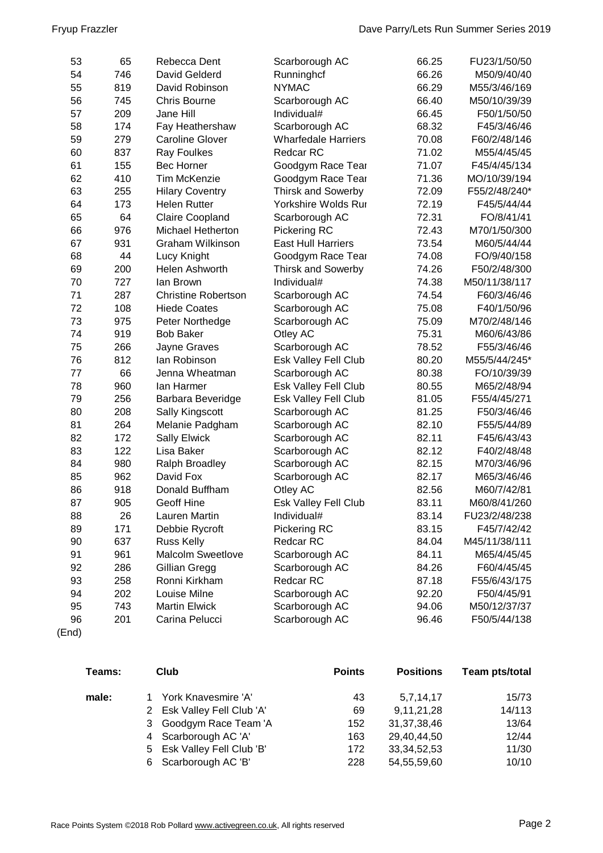| 53 | 65  | Rebecca Dent               | Scarborough AC              | 66.25 | FU23/1/50/50  |
|----|-----|----------------------------|-----------------------------|-------|---------------|
| 54 | 746 | David Gelderd              | Runninghcf                  | 66.26 | M50/9/40/40   |
| 55 | 819 | David Robinson             | <b>NYMAC</b>                | 66.29 | M55/3/46/169  |
| 56 | 745 | <b>Chris Bourne</b>        | Scarborough AC              | 66.40 | M50/10/39/39  |
| 57 | 209 | Jane Hill                  | Individual#                 | 66.45 | F50/1/50/50   |
| 58 | 174 | Fay Heathershaw            | Scarborough AC              | 68.32 | F45/3/46/46   |
| 59 | 279 | <b>Caroline Glover</b>     | <b>Wharfedale Harriers</b>  | 70.08 | F60/2/48/146  |
| 60 | 837 | <b>Ray Foulkes</b>         | Redcar RC                   | 71.02 | M55/4/45/45   |
| 61 | 155 | <b>Bec Horner</b>          | Goodgym Race Tear           | 71.07 | F45/4/45/134  |
| 62 | 410 | <b>Tim McKenzie</b>        | Goodgym Race Tear           | 71.36 | MO/10/39/194  |
| 63 | 255 | <b>Hilary Coventry</b>     | <b>Thirsk and Sowerby</b>   | 72.09 | F55/2/48/240* |
| 64 | 173 | <b>Helen Rutter</b>        | Yorkshire Wolds Rur         | 72.19 | F45/5/44/44   |
| 65 | 64  | Claire Coopland            | Scarborough AC              | 72.31 | FO/8/41/41    |
| 66 | 976 | Michael Hetherton          | Pickering RC                | 72.43 | M70/1/50/300  |
| 67 | 931 | Graham Wilkinson           | <b>East Hull Harriers</b>   | 73.54 | M60/5/44/44   |
| 68 | 44  | Lucy Knight                | Goodgym Race Tear           | 74.08 | FO/9/40/158   |
| 69 | 200 | Helen Ashworth             | <b>Thirsk and Sowerby</b>   | 74.26 | F50/2/48/300  |
| 70 | 727 | lan Brown                  | Individual#                 | 74.38 | M50/11/38/117 |
| 71 | 287 | <b>Christine Robertson</b> | Scarborough AC              | 74.54 | F60/3/46/46   |
| 72 | 108 | <b>Hiede Coates</b>        | Scarborough AC              | 75.08 | F40/1/50/96   |
| 73 | 975 | Peter Northedge            | Scarborough AC              | 75.09 | M70/2/48/146  |
| 74 | 919 | <b>Bob Baker</b>           | Otley AC                    | 75.31 | M60/6/43/86   |
| 75 | 266 | Jayne Graves               | Scarborough AC              | 78.52 | F55/3/46/46   |
| 76 | 812 | lan Robinson               | Esk Valley Fell Club        | 80.20 | M55/5/44/245* |
| 77 | 66  | Jenna Wheatman             | Scarborough AC              | 80.38 | FO/10/39/39   |
| 78 | 960 | lan Harmer                 | Esk Valley Fell Club        | 80.55 | M65/2/48/94   |
| 79 | 256 | Barbara Beveridge          | <b>Esk Valley Fell Club</b> | 81.05 | F55/4/45/271  |
| 80 | 208 | Sally Kingscott            | Scarborough AC              | 81.25 | F50/3/46/46   |
| 81 | 264 | Melanie Padgham            | Scarborough AC              | 82.10 | F55/5/44/89   |
| 82 | 172 | <b>Sally Elwick</b>        | Scarborough AC              | 82.11 | F45/6/43/43   |
| 83 | 122 | Lisa Baker                 | Scarborough AC              | 82.12 | F40/2/48/48   |
| 84 | 980 | Ralph Broadley             | Scarborough AC              | 82.15 | M70/3/46/96   |
| 85 | 962 | David Fox                  | Scarborough AC              | 82.17 | M65/3/46/46   |
| 86 | 918 | Donald Buffham             | Otley AC                    | 82.56 | M60/7/42/81   |
| 87 | 905 | <b>Geoff Hine</b>          | Esk Valley Fell Club        | 83.11 | M60/8/41/260  |
| 88 | 26  | Lauren Martin              | Individual#                 | 83.14 | FU23/2/48/238 |
| 89 | 171 | Debbie Rycroft             | Pickering RC                | 83.15 | F45/7/42/42   |
| 90 | 637 | <b>Russ Kelly</b>          | Redcar RC                   | 84.04 | M45/11/38/111 |
| 91 | 961 | <b>Malcolm Sweetlove</b>   | Scarborough AC              | 84.11 | M65/4/45/45   |
| 92 | 286 | Gillian Gregg              | Scarborough AC              | 84.26 | F60/4/45/45   |
| 93 | 258 | Ronni Kirkham              | Redcar RC                   | 87.18 | F55/6/43/175  |
| 94 | 202 | Louise Milne               | Scarborough AC              | 92.20 | F50/4/45/91   |
| 95 | 743 | <b>Martin Elwick</b>       | Scarborough AC              | 94.06 | M50/12/37/37  |
| 96 | 201 | Carina Pelucci             | Scarborough AC              | 96.46 | F50/5/44/138  |

(End)

| Teams: | Club                       | <b>Points</b> | <b>Positions</b> | Team pts/total |
|--------|----------------------------|---------------|------------------|----------------|
| male:  | 1 York Knavesmire 'A'      | 43            | 5,7,14,17        | 15/73          |
|        | 2 Esk Valley Fell Club 'A' | 69            | 9,11,21,28       | 14/113         |
|        | 3 Goodgym Race Team 'A     | 152           | 31, 37, 38, 46   | 13/64          |
|        | 4 Scarborough AC 'A'       | 163           | 29,40,44,50      | 12/44          |
|        | 5 Esk Valley Fell Club 'B' | 172           | 33, 34, 52, 53   | 11/30          |
|        | 6 Scarborough AC 'B'       | 228           | 54,55,59,60      | 10/10          |